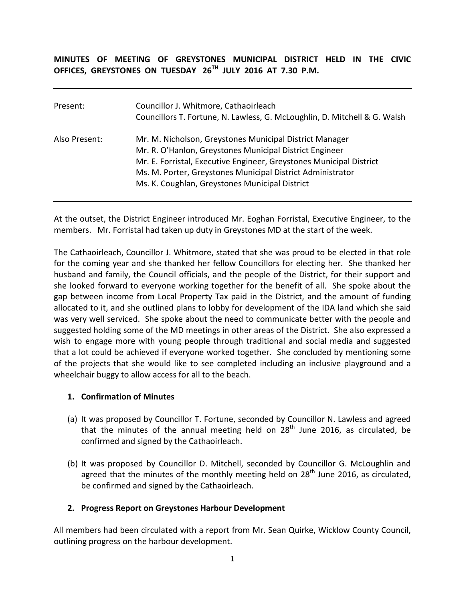#### **MINUTES OF MEETING OF GREYSTONES MUNICIPAL DISTRICT HELD IN THE CIVIC OFFICES, GREYSTONES ON TUESDAY 26TH JULY 2016 AT 7.30 P.M.**

| Present:      | Councillor J. Whitmore, Cathaoirleach<br>Councillors T. Fortune, N. Lawless, G. McLoughlin, D. Mitchell & G. Walsh                                                                                                                                                                                        |
|---------------|-----------------------------------------------------------------------------------------------------------------------------------------------------------------------------------------------------------------------------------------------------------------------------------------------------------|
| Also Present: | Mr. M. Nicholson, Greystones Municipal District Manager<br>Mr. R. O'Hanlon, Greystones Municipal District Engineer<br>Mr. E. Forristal, Executive Engineer, Greystones Municipal District<br>Ms. M. Porter, Greystones Municipal District Administrator<br>Ms. K. Coughlan, Greystones Municipal District |

At the outset, the District Engineer introduced Mr. Eoghan Forristal, Executive Engineer, to the members. Mr. Forristal had taken up duty in Greystones MD at the start of the week.

The Cathaoirleach, Councillor J. Whitmore, stated that she was proud to be elected in that role for the coming year and she thanked her fellow Councillors for electing her. She thanked her husband and family, the Council officials, and the people of the District, for their support and she looked forward to everyone working together for the benefit of all. She spoke about the gap between income from Local Property Tax paid in the District, and the amount of funding allocated to it, and she outlined plans to lobby for development of the IDA land which she said was very well serviced. She spoke about the need to communicate better with the people and suggested holding some of the MD meetings in other areas of the District. She also expressed a wish to engage more with young people through traditional and social media and suggested that a lot could be achieved if everyone worked together. She concluded by mentioning some of the projects that she would like to see completed including an inclusive playground and a wheelchair buggy to allow access for all to the beach.

#### **1. Confirmation of Minutes**

- (a) It was proposed by Councillor T. Fortune, seconded by Councillor N. Lawless and agreed that the minutes of the annual meeting held on  $28<sup>th</sup>$  June 2016, as circulated, be confirmed and signed by the Cathaoirleach.
- (b) It was proposed by Councillor D. Mitchell, seconded by Councillor G. McLoughlin and agreed that the minutes of the monthly meeting held on 28<sup>th</sup> June 2016, as circulated. be confirmed and signed by the Cathaoirleach.

### **2. Progress Report on Greystones Harbour Development**

All members had been circulated with a report from Mr. Sean Quirke, Wicklow County Council, outlining progress on the harbour development.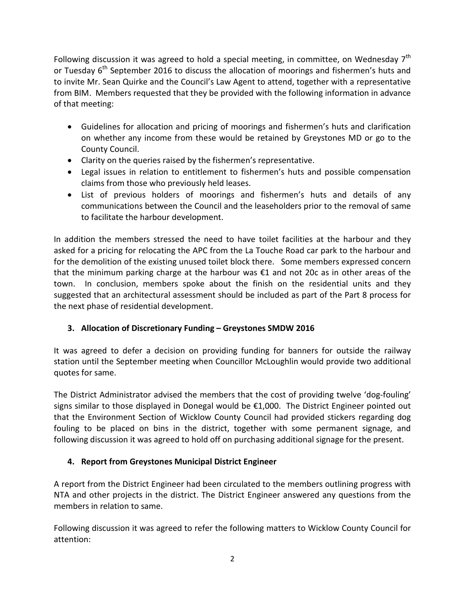Following discussion it was agreed to hold a special meeting, in committee, on Wednesday  $7<sup>th</sup>$ or Tuesday  $6<sup>th</sup>$  September 2016 to discuss the allocation of moorings and fishermen's huts and to invite Mr. Sean Quirke and the Council's Law Agent to attend, together with a representative from BIM. Members requested that they be provided with the following information in advance of that meeting:

- Guidelines for allocation and pricing of moorings and fishermen's huts and clarification on whether any income from these would be retained by Greystones MD or go to the County Council.
- Clarity on the queries raised by the fishermen's representative.
- Legal issues in relation to entitlement to fishermen's huts and possible compensation claims from those who previously held leases.
- List of previous holders of moorings and fishermen's huts and details of any communications between the Council and the leaseholders prior to the removal of same to facilitate the harbour development.

In addition the members stressed the need to have toilet facilities at the harbour and they asked for a pricing for relocating the APC from the La Touche Road car park to the harbour and for the demolition of the existing unused toilet block there. Some members expressed concern that the minimum parking charge at the harbour was €1 and not 20c as in other areas of the town. In conclusion, members spoke about the finish on the residential units and they suggested that an architectural assessment should be included as part of the Part 8 process for the next phase of residential development.

# **3. Allocation of Discretionary Funding – Greystones SMDW 2016**

It was agreed to defer a decision on providing funding for banners for outside the railway station until the September meeting when Councillor McLoughlin would provide two additional quotes for same.

The District Administrator advised the members that the cost of providing twelve 'dog-fouling' signs similar to those displayed in Donegal would be €1,000. The District Engineer pointed out that the Environment Section of Wicklow County Council had provided stickers regarding dog fouling to be placed on bins in the district, together with some permanent signage, and following discussion it was agreed to hold off on purchasing additional signage for the present.

# **4. Report from Greystones Municipal District Engineer**

A report from the District Engineer had been circulated to the members outlining progress with NTA and other projects in the district. The District Engineer answered any questions from the members in relation to same.

Following discussion it was agreed to refer the following matters to Wicklow County Council for attention: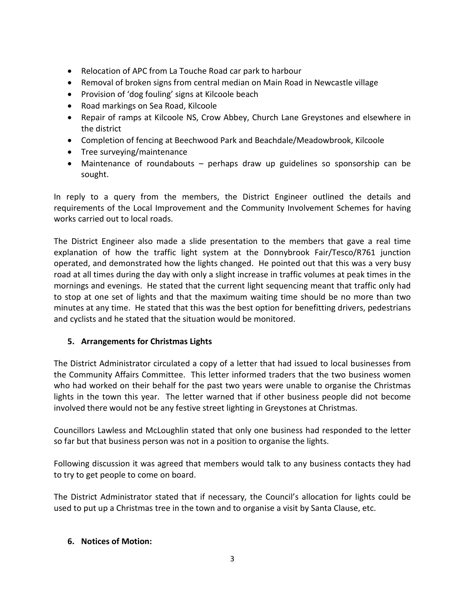- Relocation of APC from La Touche Road car park to harbour
- Removal of broken signs from central median on Main Road in Newcastle village
- Provision of 'dog fouling' signs at Kilcoole beach
- Road markings on Sea Road, Kilcoole
- Repair of ramps at Kilcoole NS, Crow Abbey, Church Lane Greystones and elsewhere in the district
- Completion of fencing at Beechwood Park and Beachdale/Meadowbrook, Kilcoole
- Tree surveying/maintenance
- Maintenance of roundabouts perhaps draw up guidelines so sponsorship can be sought.

In reply to a query from the members, the District Engineer outlined the details and requirements of the Local Improvement and the Community Involvement Schemes for having works carried out to local roads.

The District Engineer also made a slide presentation to the members that gave a real time explanation of how the traffic light system at the Donnybrook Fair/Tesco/R761 junction operated, and demonstrated how the lights changed. He pointed out that this was a very busy road at all times during the day with only a slight increase in traffic volumes at peak times in the mornings and evenings. He stated that the current light sequencing meant that traffic only had to stop at one set of lights and that the maximum waiting time should be no more than two minutes at any time. He stated that this was the best option for benefitting drivers, pedestrians and cyclists and he stated that the situation would be monitored.

### **5. Arrangements for Christmas Lights**

The District Administrator circulated a copy of a letter that had issued to local businesses from the Community Affairs Committee. This letter informed traders that the two business women who had worked on their behalf for the past two years were unable to organise the Christmas lights in the town this year. The letter warned that if other business people did not become involved there would not be any festive street lighting in Greystones at Christmas.

Councillors Lawless and McLoughlin stated that only one business had responded to the letter so far but that business person was not in a position to organise the lights.

Following discussion it was agreed that members would talk to any business contacts they had to try to get people to come on board.

The District Administrator stated that if necessary, the Council's allocation for lights could be used to put up a Christmas tree in the town and to organise a visit by Santa Clause, etc.

### **6. Notices of Motion:**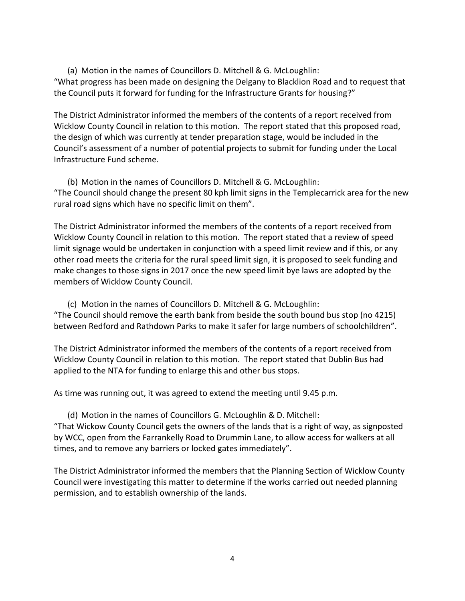(a) Motion in the names of Councillors D. Mitchell & G. McLoughlin: "What progress has been made on designing the Delgany to Blacklion Road and to request that the Council puts it forward for funding for the Infrastructure Grants for housing?"

The District Administrator informed the members of the contents of a report received from Wicklow County Council in relation to this motion. The report stated that this proposed road, the design of which was currently at tender preparation stage, would be included in the Council's assessment of a number of potential projects to submit for funding under the Local Infrastructure Fund scheme.

(b) Motion in the names of Councillors D. Mitchell & G. McLoughlin: "The Council should change the present 80 kph limit signs in the Templecarrick area for the new rural road signs which have no specific limit on them".

The District Administrator informed the members of the contents of a report received from Wicklow County Council in relation to this motion. The report stated that a review of speed limit signage would be undertaken in conjunction with a speed limit review and if this, or any other road meets the criteria for the rural speed limit sign, it is proposed to seek funding and make changes to those signs in 2017 once the new speed limit bye laws are adopted by the members of Wicklow County Council.

(c) Motion in the names of Councillors D. Mitchell & G. McLoughlin: "The Council should remove the earth bank from beside the south bound bus stop (no 4215) between Redford and Rathdown Parks to make it safer for large numbers of schoolchildren".

The District Administrator informed the members of the contents of a report received from Wicklow County Council in relation to this motion. The report stated that Dublin Bus had applied to the NTA for funding to enlarge this and other bus stops.

As time was running out, it was agreed to extend the meeting until 9.45 p.m.

(d) Motion in the names of Councillors G. McLoughlin & D. Mitchell: "That Wickow County Council gets the owners of the lands that is a right of way, as signposted by WCC, open from the Farrankelly Road to Drummin Lane, to allow access for walkers at all times, and to remove any barriers or locked gates immediately".

The District Administrator informed the members that the Planning Section of Wicklow County Council were investigating this matter to determine if the works carried out needed planning permission, and to establish ownership of the lands.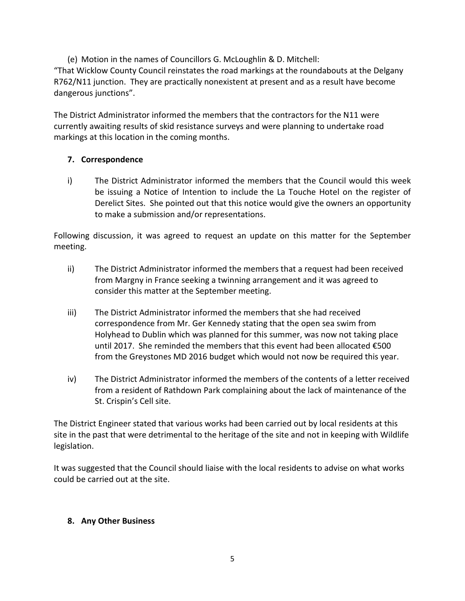(e) Motion in the names of Councillors G. McLoughlin & D. Mitchell: "That Wicklow County Council reinstates the road markings at the roundabouts at the Delgany R762/N11 junction. They are practically nonexistent at present and as a result have become dangerous junctions".

The District Administrator informed the members that the contractors for the N11 were currently awaiting results of skid resistance surveys and were planning to undertake road markings at this location in the coming months.

### **7. Correspondence**

i) The District Administrator informed the members that the Council would this week be issuing a Notice of Intention to include the La Touche Hotel on the register of Derelict Sites. She pointed out that this notice would give the owners an opportunity to make a submission and/or representations.

Following discussion, it was agreed to request an update on this matter for the September meeting.

- ii) The District Administrator informed the members that a request had been received from Margny in France seeking a twinning arrangement and it was agreed to consider this matter at the September meeting.
- iii) The District Administrator informed the members that she had received correspondence from Mr. Ger Kennedy stating that the open sea swim from Holyhead to Dublin which was planned for this summer, was now not taking place until 2017. She reminded the members that this event had been allocated €500 from the Greystones MD 2016 budget which would not now be required this year.
- iv) The District Administrator informed the members of the contents of a letter received from a resident of Rathdown Park complaining about the lack of maintenance of the St. Crispin's Cell site.

The District Engineer stated that various works had been carried out by local residents at this site in the past that were detrimental to the heritage of the site and not in keeping with Wildlife legislation.

It was suggested that the Council should liaise with the local residents to advise on what works could be carried out at the site.

### **8. Any Other Business**